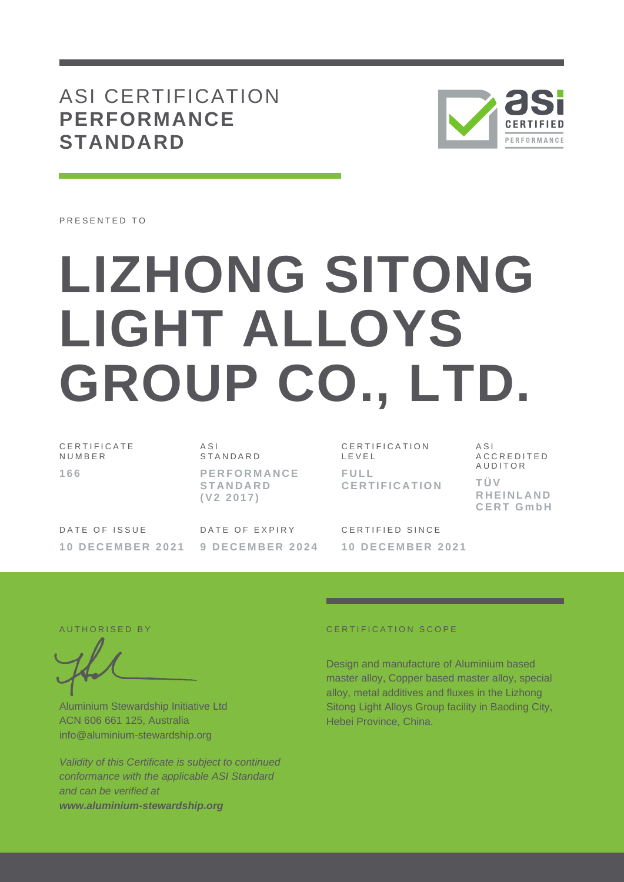## ASI CERTIFICATION **PERFORMANCE STANDARD**



PRESENTED TO

# **LIZHONG SITONG LIGHT ALLOYS GROUP CO., LTD.**

C E R T I F I C A T E **NUMBER 166**

A S I **STANDARD** 

**P E R F O R M A N C E S T A N D A R D ( V 2 2 0 1 7 )**

DATE OF ISSUE **1 0 D E C E M B E R 2 0 2 1** DATE OF EXPIRY **9 D E C E M B E R 2 0 2 4**

C E R T I F I C A T I O N L E V E L **F U L L C E R T I F I C A T I O N**

**C E R T G m b H** CERTIFIED SINCE **1 0 D E C E M B E R 2 0 2 1**

A S I

**T Ü V** 

A C C R E D I T E D A U D I T O R

**R H E I N L A N D** 

Aluminium Stewardship Initiative Ltd ACN 606 661 125, Australia info@aluminium-stewardship.org

*Validity of this Certificate is subject to continued conformance with the applicable ASI Standard and can be verified at www.aluminium-stewardship.org*

#### A U T HORISED BY CERTIFICATION SCOPE

Design and manufacture of Aluminium based master alloy, Copper based master alloy, special alloy, metal additives and fluxes in the Lizhong Sitong Light Alloys Group facility in Baoding City, Hebei Province, China.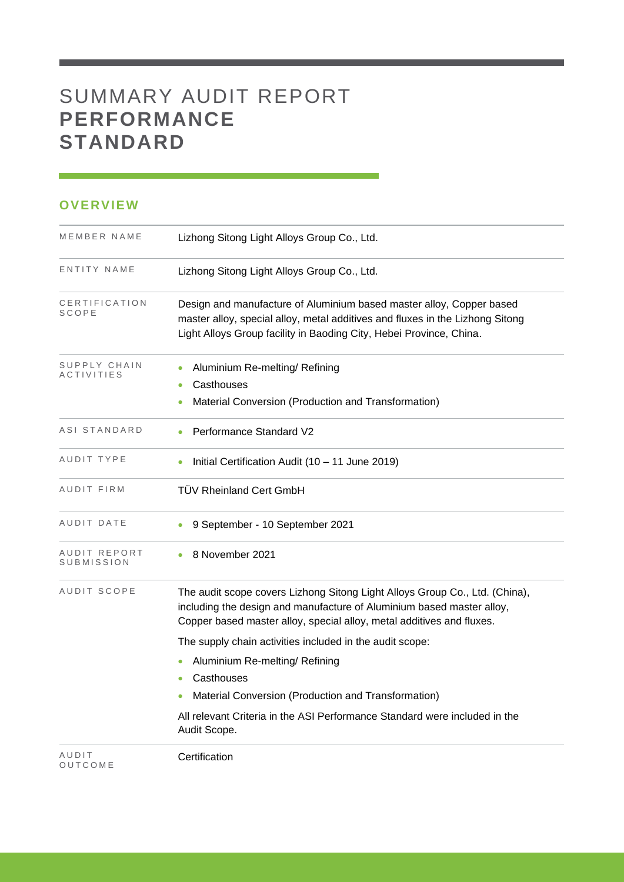# SUMMARY AUDIT REPORT **PERFORMANCE STANDARD**

### **OVERVIEW**

| MEMBER NAME                | Lizhong Sitong Light Alloys Group Co., Ltd.                                                                                                                                                                                   |
|----------------------------|-------------------------------------------------------------------------------------------------------------------------------------------------------------------------------------------------------------------------------|
| ENTITY NAME                | Lizhong Sitong Light Alloys Group Co., Ltd.                                                                                                                                                                                   |
| CERTIFICATION<br>SCOPE     | Design and manufacture of Aluminium based master alloy, Copper based<br>master alloy, special alloy, metal additives and fluxes in the Lizhong Sitong<br>Light Alloys Group facility in Baoding City, Hebei Province, China.  |
| SUPPLY CHAIN<br>ACTIVITIES | Aluminium Re-melting/ Refining<br>Casthouses<br>Material Conversion (Production and Transformation)                                                                                                                           |
| ASI STANDARD               | Performance Standard V2                                                                                                                                                                                                       |
| AUDIT TYPE                 | Initial Certification Audit (10 - 11 June 2019)                                                                                                                                                                               |
| AUDIT FIRM                 | <b>TÜV Rheinland Cert GmbH</b>                                                                                                                                                                                                |
| AUDIT DATE                 | 9 September - 10 September 2021                                                                                                                                                                                               |
| AUDIT REPORT<br>SUBMISSION | 8 November 2021                                                                                                                                                                                                               |
| AUDIT SCOPE                | The audit scope covers Lizhong Sitong Light Alloys Group Co., Ltd. (China),<br>including the design and manufacture of Aluminium based master alloy,<br>Copper based master alloy, special alloy, metal additives and fluxes. |
|                            | The supply chain activities included in the audit scope:                                                                                                                                                                      |
|                            | Aluminium Re-melting/ Refining                                                                                                                                                                                                |
|                            | Casthouses                                                                                                                                                                                                                    |
|                            | Material Conversion (Production and Transformation)                                                                                                                                                                           |
|                            | All relevant Criteria in the ASI Performance Standard were included in the<br>Audit Scope.                                                                                                                                    |
| AUDIT<br>OUTCOME           | Certification                                                                                                                                                                                                                 |

and the control of the control of the control of the control of the control of the control of the control of the control of the control of the control of the control of the control of the control of the control of the cont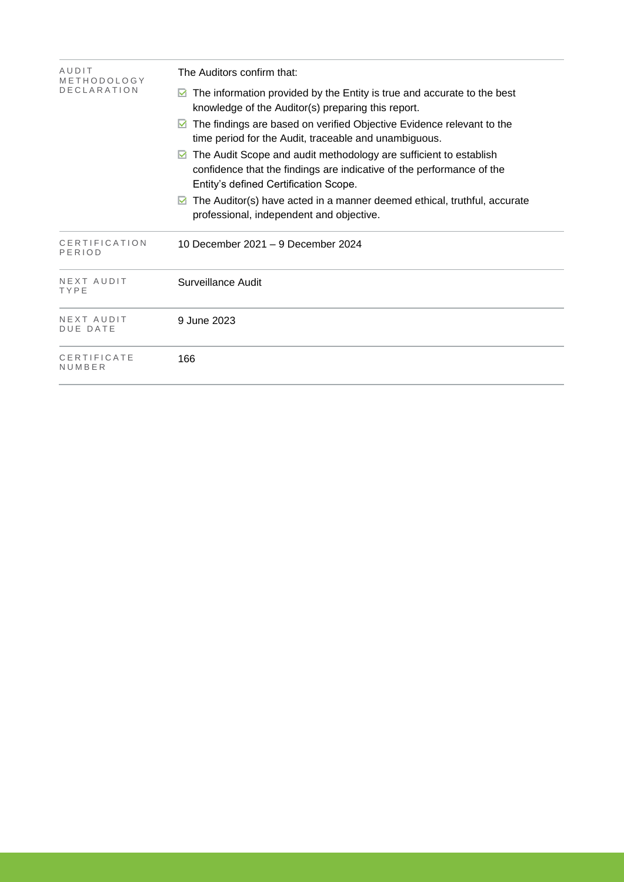| AUDIT<br>METHODOLOGY          | The Auditors confirm that:                                                                                                                                                               |  |  |  |  |
|-------------------------------|------------------------------------------------------------------------------------------------------------------------------------------------------------------------------------------|--|--|--|--|
| <b>DECLARATION</b>            | The information provided by the Entity is true and accurate to the best<br>knowledge of the Auditor(s) preparing this report.                                                            |  |  |  |  |
|                               | The findings are based on verified Objective Evidence relevant to the<br>M<br>time period for the Audit, traceable and unambiguous.                                                      |  |  |  |  |
|                               | The Audit Scope and audit methodology are sufficient to establish<br>M<br>confidence that the findings are indicative of the performance of the<br>Entity's defined Certification Scope. |  |  |  |  |
|                               | The Auditor(s) have acted in a manner deemed ethical, truthful, accurate<br>M<br>professional, independent and objective.                                                                |  |  |  |  |
| CERTIFICATION<br>PERIOD       | 10 December 2021 - 9 December 2024                                                                                                                                                       |  |  |  |  |
| NEXT AUDIT<br>TYPE            | Surveillance Audit                                                                                                                                                                       |  |  |  |  |
| NEXT AUDIT<br><b>DUE DATE</b> | 9 June 2023                                                                                                                                                                              |  |  |  |  |
| CERTIFICATE<br>NUMBER         | 166                                                                                                                                                                                      |  |  |  |  |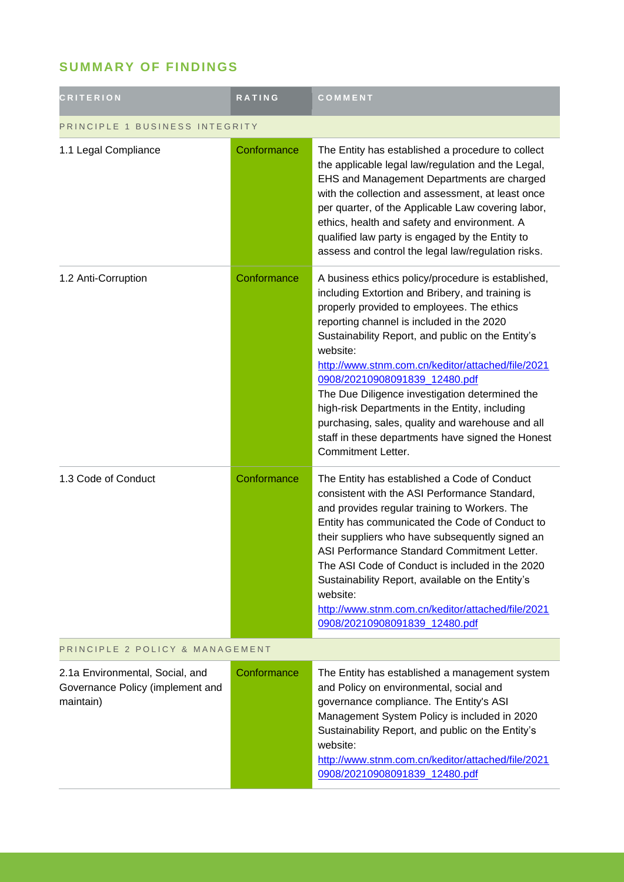## **SUMMARY OF FINDINGS**

| <b>CRITERION</b>                                                                 | <b>RATING</b> | COMMENT                                                                                                                                                                                                                                                                                                                                                                                                                                                                                                                                                                                            |  |
|----------------------------------------------------------------------------------|---------------|----------------------------------------------------------------------------------------------------------------------------------------------------------------------------------------------------------------------------------------------------------------------------------------------------------------------------------------------------------------------------------------------------------------------------------------------------------------------------------------------------------------------------------------------------------------------------------------------------|--|
| PRINCIPLE 1 BUSINESS INTEGRITY                                                   |               |                                                                                                                                                                                                                                                                                                                                                                                                                                                                                                                                                                                                    |  |
| 1.1 Legal Compliance                                                             | Conformance   | The Entity has established a procedure to collect<br>the applicable legal law/regulation and the Legal,<br>EHS and Management Departments are charged<br>with the collection and assessment, at least once<br>per quarter, of the Applicable Law covering labor,<br>ethics, health and safety and environment. A<br>qualified law party is engaged by the Entity to<br>assess and control the legal law/regulation risks.                                                                                                                                                                          |  |
| 1.2 Anti-Corruption                                                              | Conformance   | A business ethics policy/procedure is established,<br>including Extortion and Bribery, and training is<br>properly provided to employees. The ethics<br>reporting channel is included in the 2020<br>Sustainability Report, and public on the Entity's<br>website:<br>http://www.stnm.com.cn/keditor/attached/file/2021<br>0908/20210908091839_12480.pdf<br>The Due Diligence investigation determined the<br>high-risk Departments in the Entity, including<br>purchasing, sales, quality and warehouse and all<br>staff in these departments have signed the Honest<br><b>Commitment Letter.</b> |  |
| 1.3 Code of Conduct                                                              | Conformance   | The Entity has established a Code of Conduct<br>consistent with the ASI Performance Standard,<br>and provides regular training to Workers. The<br>Entity has communicated the Code of Conduct to<br>their suppliers who have subsequently signed an<br>ASI Performance Standard Commitment Letter.<br>The ASI Code of Conduct is included in the 2020<br>Sustainability Report, available on the Entity's<br>website:<br>http://www.stnm.com.cn/keditor/attached/file/2021<br>0908/20210908091839_12480.pdf                                                                                        |  |
| PRINCIPLE 2 POLICY & MANAGEMENT                                                  |               |                                                                                                                                                                                                                                                                                                                                                                                                                                                                                                                                                                                                    |  |
| 2.1a Environmental, Social, and<br>Governance Policy (implement and<br>maintain) | Conformance   | The Entity has established a management system<br>and Policy on environmental, social and<br>governance compliance. The Entity's ASI<br>Management System Policy is included in 2020<br>Sustainability Report, and public on the Entity's<br>website:<br>http://www.stnm.com.cn/keditor/attached/file/2021<br>0908/20210908091839 12480.pdf                                                                                                                                                                                                                                                        |  |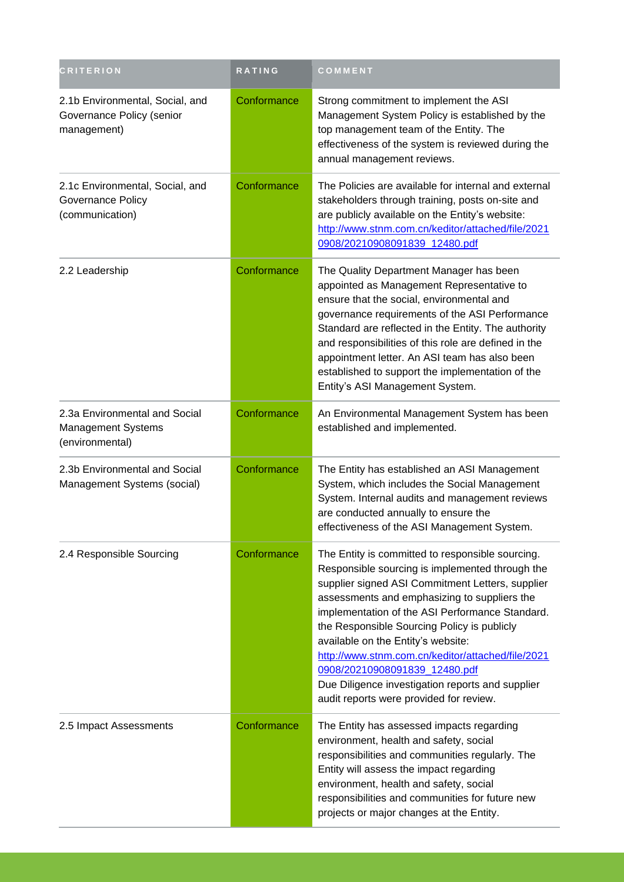| <b>CRITERION</b>                                                              | RATING      | COMMENT                                                                                                                                                                                                                                                                                                                                                                                                                                                                                                                              |
|-------------------------------------------------------------------------------|-------------|--------------------------------------------------------------------------------------------------------------------------------------------------------------------------------------------------------------------------------------------------------------------------------------------------------------------------------------------------------------------------------------------------------------------------------------------------------------------------------------------------------------------------------------|
| 2.1b Environmental, Social, and<br>Governance Policy (senior<br>management)   | Conformance | Strong commitment to implement the ASI<br>Management System Policy is established by the<br>top management team of the Entity. The<br>effectiveness of the system is reviewed during the<br>annual management reviews.                                                                                                                                                                                                                                                                                                               |
| 2.1c Environmental, Social, and<br>Governance Policy<br>(communication)       | Conformance | The Policies are available for internal and external<br>stakeholders through training, posts on-site and<br>are publicly available on the Entity's website:<br>http://www.stnm.com.cn/keditor/attached/file/2021<br>0908/20210908091839_12480.pdf                                                                                                                                                                                                                                                                                    |
| 2.2 Leadership                                                                | Conformance | The Quality Department Manager has been<br>appointed as Management Representative to<br>ensure that the social, environmental and<br>governance requirements of the ASI Performance<br>Standard are reflected in the Entity. The authority<br>and responsibilities of this role are defined in the<br>appointment letter. An ASI team has also been<br>established to support the implementation of the<br>Entity's ASI Management System.                                                                                           |
| 2.3a Environmental and Social<br><b>Management Systems</b><br>(environmental) | Conformance | An Environmental Management System has been<br>established and implemented.                                                                                                                                                                                                                                                                                                                                                                                                                                                          |
| 2.3b Environmental and Social<br>Management Systems (social)                  | Conformance | The Entity has established an ASI Management<br>System, which includes the Social Management<br>System. Internal audits and management reviews<br>are conducted annually to ensure the<br>effectiveness of the ASI Management System.                                                                                                                                                                                                                                                                                                |
| 2.4 Responsible Sourcing                                                      | Conformance | The Entity is committed to responsible sourcing.<br>Responsible sourcing is implemented through the<br>supplier signed ASI Commitment Letters, supplier<br>assessments and emphasizing to suppliers the<br>implementation of the ASI Performance Standard.<br>the Responsible Sourcing Policy is publicly<br>available on the Entity's website:<br>http://www.stnm.com.cn/keditor/attached/file/2021<br>0908/20210908091839_12480.pdf<br>Due Diligence investigation reports and supplier<br>audit reports were provided for review. |
| 2.5 Impact Assessments                                                        | Conformance | The Entity has assessed impacts regarding<br>environment, health and safety, social<br>responsibilities and communities regularly. The<br>Entity will assess the impact regarding<br>environment, health and safety, social<br>responsibilities and communities for future new<br>projects or major changes at the Entity.                                                                                                                                                                                                           |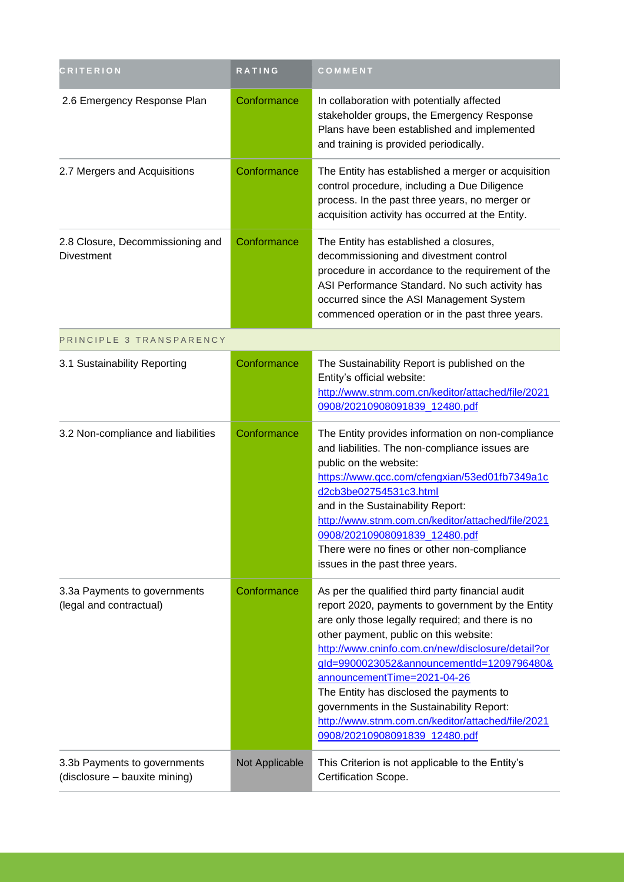| <b>CRITERION</b>                                              | <b>RATING</b>  | COMMENT                                                                                                                                                                                                                                                                                                                                                                                                                                                                                                             |
|---------------------------------------------------------------|----------------|---------------------------------------------------------------------------------------------------------------------------------------------------------------------------------------------------------------------------------------------------------------------------------------------------------------------------------------------------------------------------------------------------------------------------------------------------------------------------------------------------------------------|
| 2.6 Emergency Response Plan                                   | Conformance    | In collaboration with potentially affected<br>stakeholder groups, the Emergency Response<br>Plans have been established and implemented<br>and training is provided periodically.                                                                                                                                                                                                                                                                                                                                   |
| 2.7 Mergers and Acquisitions                                  | Conformance    | The Entity has established a merger or acquisition<br>control procedure, including a Due Diligence<br>process. In the past three years, no merger or<br>acquisition activity has occurred at the Entity.                                                                                                                                                                                                                                                                                                            |
| 2.8 Closure, Decommissioning and<br><b>Divestment</b>         | Conformance    | The Entity has established a closures,<br>decommissioning and divestment control<br>procedure in accordance to the requirement of the<br>ASI Performance Standard. No such activity has<br>occurred since the ASI Management System<br>commenced operation or in the past three years.                                                                                                                                                                                                                              |
| PRINCIPLE 3 TRANSPARENCY                                      |                |                                                                                                                                                                                                                                                                                                                                                                                                                                                                                                                     |
| 3.1 Sustainability Reporting                                  | Conformance    | The Sustainability Report is published on the<br>Entity's official website:<br>http://www.stnm.com.cn/keditor/attached/file/2021<br>0908/20210908091839_12480.pdf                                                                                                                                                                                                                                                                                                                                                   |
| 3.2 Non-compliance and liabilities                            | Conformance    | The Entity provides information on non-compliance<br>and liabilities. The non-compliance issues are<br>public on the website:<br>https://www.qcc.com/cfengxian/53ed01fb7349a1c<br>d2cb3be02754531c3.html<br>and in the Sustainability Report:<br>http://www.stnm.com.cn/keditor/attached/file/2021<br>0908/20210908091839_12480.pdf<br>There were no fines or other non-compliance<br>issues in the past three years.                                                                                               |
| 3.3a Payments to governments<br>(legal and contractual)       | Conformance    | As per the qualified third party financial audit<br>report 2020, payments to government by the Entity<br>are only those legally required; and there is no<br>other payment, public on this website:<br>http://www.cninfo.com.cn/new/disclosure/detail?or<br>gld=9900023052&announcementId=1209796480&<br>announcementTime=2021-04-26<br>The Entity has disclosed the payments to<br>governments in the Sustainability Report:<br>http://www.stnm.com.cn/keditor/attached/file/2021<br>0908/20210908091839 12480.pdf |
| 3.3b Payments to governments<br>(disclosure - bauxite mining) | Not Applicable | This Criterion is not applicable to the Entity's<br>Certification Scope.                                                                                                                                                                                                                                                                                                                                                                                                                                            |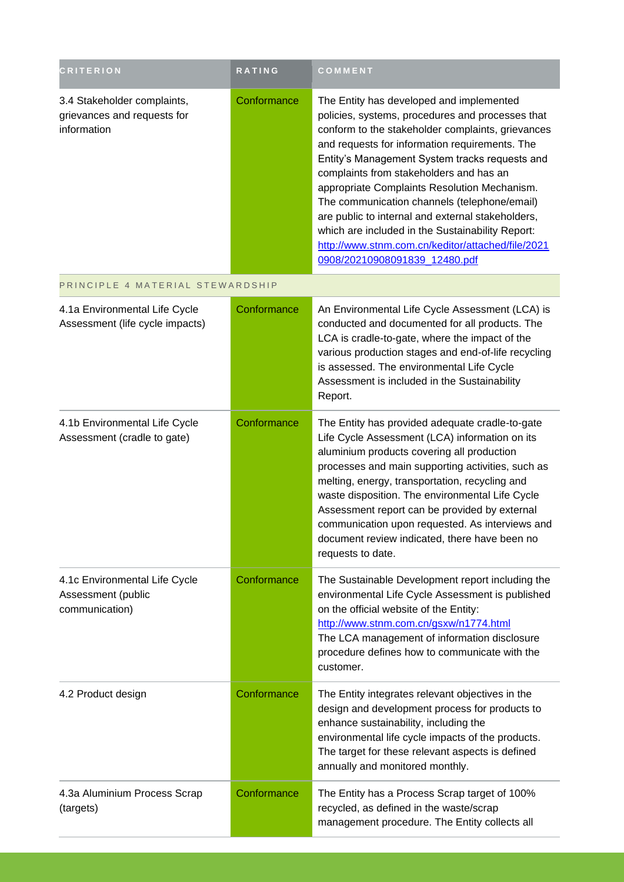| <b>CRITERION</b>                                                          | <b>RATING</b> | <b>COMMENT</b>                                                                                                                                                                                                                                                                                                                                                                                                                                                                                                                                                                                  |
|---------------------------------------------------------------------------|---------------|-------------------------------------------------------------------------------------------------------------------------------------------------------------------------------------------------------------------------------------------------------------------------------------------------------------------------------------------------------------------------------------------------------------------------------------------------------------------------------------------------------------------------------------------------------------------------------------------------|
| 3.4 Stakeholder complaints,<br>grievances and requests for<br>information | Conformance   | The Entity has developed and implemented<br>policies, systems, procedures and processes that<br>conform to the stakeholder complaints, grievances<br>and requests for information requirements. The<br>Entity's Management System tracks requests and<br>complaints from stakeholders and has an<br>appropriate Complaints Resolution Mechanism.<br>The communication channels (telephone/email)<br>are public to internal and external stakeholders,<br>which are included in the Sustainability Report:<br>http://www.stnm.com.cn/keditor/attached/file/2021<br>0908/20210908091839_12480.pdf |
| PRINCIPLE 4 MATERIAL STEWARDSHIP                                          |               |                                                                                                                                                                                                                                                                                                                                                                                                                                                                                                                                                                                                 |
| 4.1a Environmental Life Cycle<br>Assessment (life cycle impacts)          | Conformance   | An Environmental Life Cycle Assessment (LCA) is<br>conducted and documented for all products. The<br>LCA is cradle-to-gate, where the impact of the<br>various production stages and end-of-life recycling<br>is assessed. The environmental Life Cycle<br>Assessment is included in the Sustainability<br>Report.                                                                                                                                                                                                                                                                              |
| 4.1b Environmental Life Cycle<br>Assessment (cradle to gate)              | Conformance   | The Entity has provided adequate cradle-to-gate<br>Life Cycle Assessment (LCA) information on its<br>aluminium products covering all production<br>processes and main supporting activities, such as<br>melting, energy, transportation, recycling and<br>waste disposition. The environmental Life Cycle<br>Assessment report can be provided by external<br>communication upon requested. As interviews and<br>document review indicated, there have been no<br>requests to date.                                                                                                             |
| 4.1c Environmental Life Cycle<br>Assessment (public<br>communication)     | Conformance   | The Sustainable Development report including the<br>environmental Life Cycle Assessment is published<br>on the official website of the Entity:<br>http://www.stnm.com.cn/gsxw/n1774.html<br>The LCA management of information disclosure<br>procedure defines how to communicate with the<br>customer.                                                                                                                                                                                                                                                                                          |
| 4.2 Product design                                                        | Conformance   | The Entity integrates relevant objectives in the<br>design and development process for products to<br>enhance sustainability, including the<br>environmental life cycle impacts of the products.<br>The target for these relevant aspects is defined<br>annually and monitored monthly.                                                                                                                                                                                                                                                                                                         |
| 4.3a Aluminium Process Scrap<br>(targets)                                 | Conformance   | The Entity has a Process Scrap target of 100%<br>recycled, as defined in the waste/scrap<br>management procedure. The Entity collects all                                                                                                                                                                                                                                                                                                                                                                                                                                                       |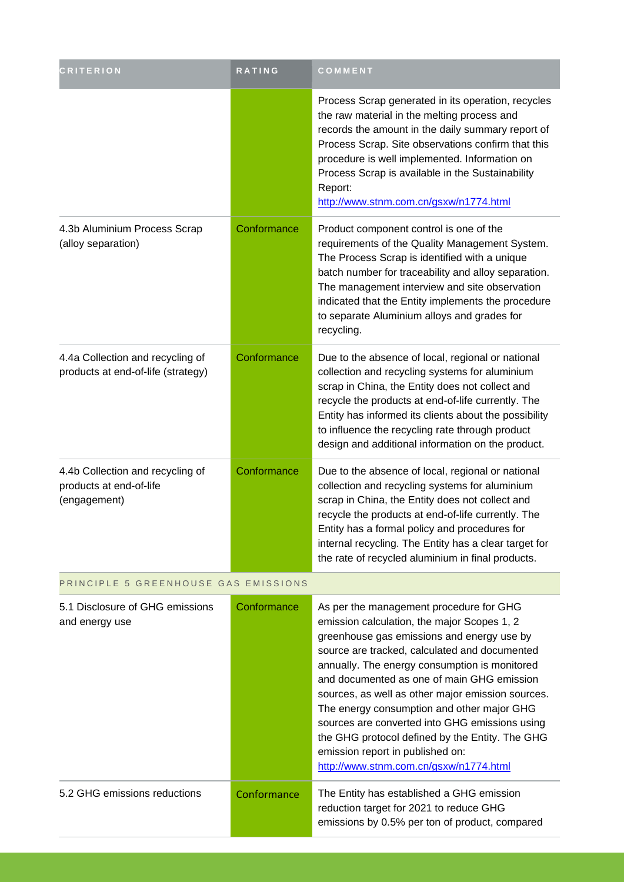| <b>CRITERION</b>                                                            | RATING      | COMMENT                                                                                                                                                                                                                                                                                                                                                                                                                                                                                                                                                                    |
|-----------------------------------------------------------------------------|-------------|----------------------------------------------------------------------------------------------------------------------------------------------------------------------------------------------------------------------------------------------------------------------------------------------------------------------------------------------------------------------------------------------------------------------------------------------------------------------------------------------------------------------------------------------------------------------------|
|                                                                             |             | Process Scrap generated in its operation, recycles<br>the raw material in the melting process and<br>records the amount in the daily summary report of<br>Process Scrap. Site observations confirm that this<br>procedure is well implemented. Information on<br>Process Scrap is available in the Sustainability<br>Report:<br>http://www.stnm.com.cn/gsxw/n1774.html                                                                                                                                                                                                     |
| 4.3b Aluminium Process Scrap<br>(alloy separation)                          | Conformance | Product component control is one of the<br>requirements of the Quality Management System.<br>The Process Scrap is identified with a unique<br>batch number for traceability and alloy separation.<br>The management interview and site observation<br>indicated that the Entity implements the procedure<br>to separate Aluminium alloys and grades for<br>recycling.                                                                                                                                                                                                      |
| 4.4a Collection and recycling of<br>products at end-of-life (strategy)      | Conformance | Due to the absence of local, regional or national<br>collection and recycling systems for aluminium<br>scrap in China, the Entity does not collect and<br>recycle the products at end-of-life currently. The<br>Entity has informed its clients about the possibility<br>to influence the recycling rate through product<br>design and additional information on the product.                                                                                                                                                                                              |
| 4.4b Collection and recycling of<br>products at end-of-life<br>(engagement) | Conformance | Due to the absence of local, regional or national<br>collection and recycling systems for aluminium<br>scrap in China, the Entity does not collect and<br>recycle the products at end-of-life currently. The<br>Entity has a formal policy and procedures for<br>internal recycling. The Entity has a clear target for<br>the rate of recycled aluminium in final products.                                                                                                                                                                                                |
| PRINCIPLE 5 GREENHOUSE GAS EMISSIONS                                        |             |                                                                                                                                                                                                                                                                                                                                                                                                                                                                                                                                                                            |
| 5.1 Disclosure of GHG emissions<br>and energy use                           | Conformance | As per the management procedure for GHG<br>emission calculation, the major Scopes 1, 2<br>greenhouse gas emissions and energy use by<br>source are tracked, calculated and documented<br>annually. The energy consumption is monitored<br>and documented as one of main GHG emission<br>sources, as well as other major emission sources.<br>The energy consumption and other major GHG<br>sources are converted into GHG emissions using<br>the GHG protocol defined by the Entity. The GHG<br>emission report in published on:<br>http://www.stnm.com.cn/gsxw/n1774.html |
| 5.2 GHG emissions reductions                                                | Conformance | The Entity has established a GHG emission<br>reduction target for 2021 to reduce GHG<br>emissions by 0.5% per ton of product, compared                                                                                                                                                                                                                                                                                                                                                                                                                                     |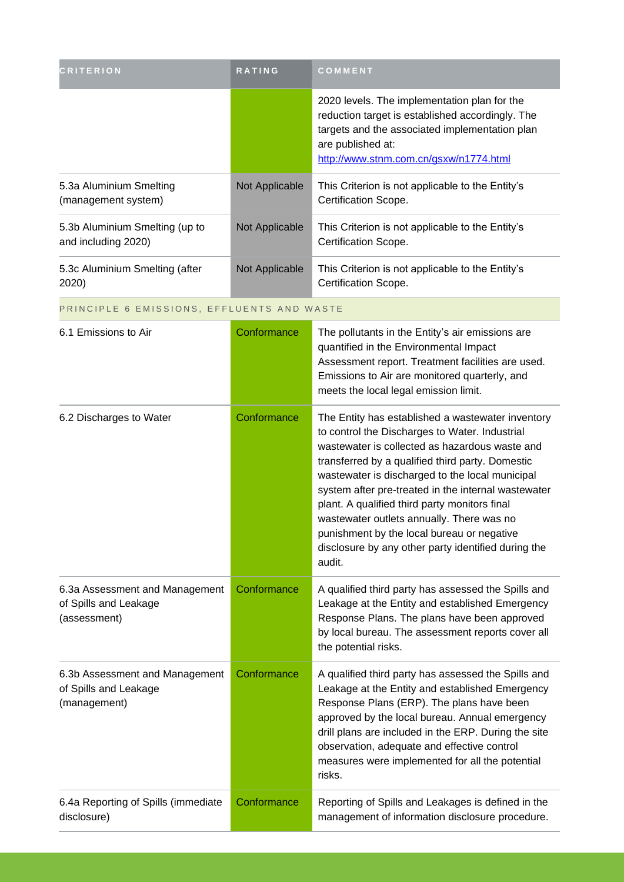| <b>CRITERION</b>                                                        | RATING         | <b>COMMENT</b>                                                                                                                                                                                                                                                                                                                                                                                                                                                                                                                   |
|-------------------------------------------------------------------------|----------------|----------------------------------------------------------------------------------------------------------------------------------------------------------------------------------------------------------------------------------------------------------------------------------------------------------------------------------------------------------------------------------------------------------------------------------------------------------------------------------------------------------------------------------|
|                                                                         |                | 2020 levels. The implementation plan for the<br>reduction target is established accordingly. The<br>targets and the associated implementation plan<br>are published at:<br>http://www.stnm.com.cn/gsxw/n1774.html                                                                                                                                                                                                                                                                                                                |
| 5.3a Aluminium Smelting<br>(management system)                          | Not Applicable | This Criterion is not applicable to the Entity's<br>Certification Scope.                                                                                                                                                                                                                                                                                                                                                                                                                                                         |
| 5.3b Aluminium Smelting (up to<br>and including 2020)                   | Not Applicable | This Criterion is not applicable to the Entity's<br>Certification Scope.                                                                                                                                                                                                                                                                                                                                                                                                                                                         |
| 5.3c Aluminium Smelting (after<br>2020)                                 | Not Applicable | This Criterion is not applicable to the Entity's<br>Certification Scope.                                                                                                                                                                                                                                                                                                                                                                                                                                                         |
| PRINCIPLE 6 EMISSIONS, EFFLUENTS AND WASTE                              |                |                                                                                                                                                                                                                                                                                                                                                                                                                                                                                                                                  |
| 6.1 Emissions to Air                                                    | Conformance    | The pollutants in the Entity's air emissions are<br>quantified in the Environmental Impact<br>Assessment report. Treatment facilities are used.<br>Emissions to Air are monitored quarterly, and<br>meets the local legal emission limit.                                                                                                                                                                                                                                                                                        |
| 6.2 Discharges to Water                                                 | Conformance    | The Entity has established a wastewater inventory<br>to control the Discharges to Water. Industrial<br>wastewater is collected as hazardous waste and<br>transferred by a qualified third party. Domestic<br>wastewater is discharged to the local municipal<br>system after pre-treated in the internal wastewater<br>plant. A qualified third party monitors final<br>wastewater outlets annually. There was no<br>punishment by the local bureau or negative<br>disclosure by any other party identified during the<br>audit. |
| 6.3a Assessment and Management<br>of Spills and Leakage<br>(assessment) | Conformance    | A qualified third party has assessed the Spills and<br>Leakage at the Entity and established Emergency<br>Response Plans. The plans have been approved<br>by local bureau. The assessment reports cover all<br>the potential risks.                                                                                                                                                                                                                                                                                              |
| 6.3b Assessment and Management<br>of Spills and Leakage<br>(management) | Conformance    | A qualified third party has assessed the Spills and<br>Leakage at the Entity and established Emergency<br>Response Plans (ERP). The plans have been<br>approved by the local bureau. Annual emergency<br>drill plans are included in the ERP. During the site<br>observation, adequate and effective control<br>measures were implemented for all the potential<br>risks.                                                                                                                                                        |
| 6.4a Reporting of Spills (immediate<br>disclosure)                      | Conformance    | Reporting of Spills and Leakages is defined in the<br>management of information disclosure procedure.                                                                                                                                                                                                                                                                                                                                                                                                                            |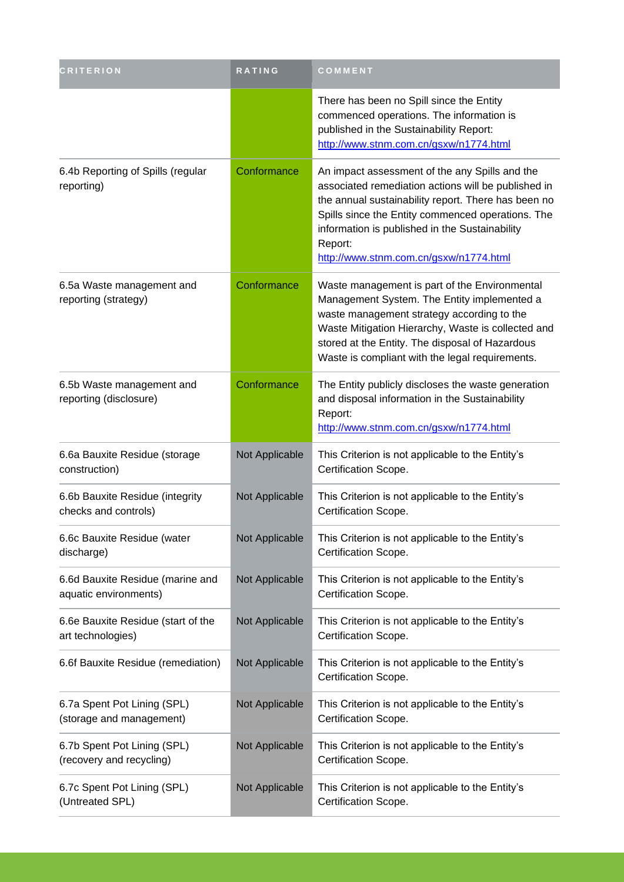| <b>CRITERION</b>                                          | RATING         | <b>COMMENT</b>                                                                                                                                                                                                                                                                                                           |  |
|-----------------------------------------------------------|----------------|--------------------------------------------------------------------------------------------------------------------------------------------------------------------------------------------------------------------------------------------------------------------------------------------------------------------------|--|
|                                                           |                | There has been no Spill since the Entity<br>commenced operations. The information is<br>published in the Sustainability Report:<br>http://www.stnm.com.cn/gsxw/n1774.html                                                                                                                                                |  |
| 6.4b Reporting of Spills (regular<br>reporting)           | Conformance    | An impact assessment of the any Spills and the<br>associated remediation actions will be published in<br>the annual sustainability report. There has been no<br>Spills since the Entity commenced operations. The<br>information is published in the Sustainability<br>Report:<br>http://www.stnm.com.cn/gsxw/n1774.html |  |
| 6.5a Waste management and<br>reporting (strategy)         | Conformance    | Waste management is part of the Environmental<br>Management System. The Entity implemented a<br>waste management strategy according to the<br>Waste Mitigation Hierarchy, Waste is collected and<br>stored at the Entity. The disposal of Hazardous<br>Waste is compliant with the legal requirements.                   |  |
| 6.5b Waste management and<br>reporting (disclosure)       | Conformance    | The Entity publicly discloses the waste generation<br>and disposal information in the Sustainability<br>Report:<br>http://www.stnm.com.cn/gsxw/n1774.html                                                                                                                                                                |  |
| 6.6a Bauxite Residue (storage<br>construction)            | Not Applicable | This Criterion is not applicable to the Entity's<br>Certification Scope.                                                                                                                                                                                                                                                 |  |
| 6.6b Bauxite Residue (integrity<br>checks and controls)   | Not Applicable | This Criterion is not applicable to the Entity's<br>Certification Scope.                                                                                                                                                                                                                                                 |  |
| 6.6c Bauxite Residue (water<br>discharge)                 | Not Applicable | This Criterion is not applicable to the Entity's<br>Certification Scope.                                                                                                                                                                                                                                                 |  |
| 6.6d Bauxite Residue (marine and<br>aquatic environments) | Not Applicable | This Criterion is not applicable to the Entity's<br>Certification Scope.                                                                                                                                                                                                                                                 |  |
| 6.6e Bauxite Residue (start of the<br>art technologies)   | Not Applicable | This Criterion is not applicable to the Entity's<br>Certification Scope.                                                                                                                                                                                                                                                 |  |
| 6.6f Bauxite Residue (remediation)                        | Not Applicable | This Criterion is not applicable to the Entity's<br>Certification Scope.                                                                                                                                                                                                                                                 |  |
| 6.7a Spent Pot Lining (SPL)<br>(storage and management)   | Not Applicable | This Criterion is not applicable to the Entity's<br>Certification Scope.                                                                                                                                                                                                                                                 |  |
| 6.7b Spent Pot Lining (SPL)<br>(recovery and recycling)   | Not Applicable | This Criterion is not applicable to the Entity's<br>Certification Scope.                                                                                                                                                                                                                                                 |  |
| 6.7c Spent Pot Lining (SPL)<br>(Untreated SPL)            | Not Applicable | This Criterion is not applicable to the Entity's<br>Certification Scope.                                                                                                                                                                                                                                                 |  |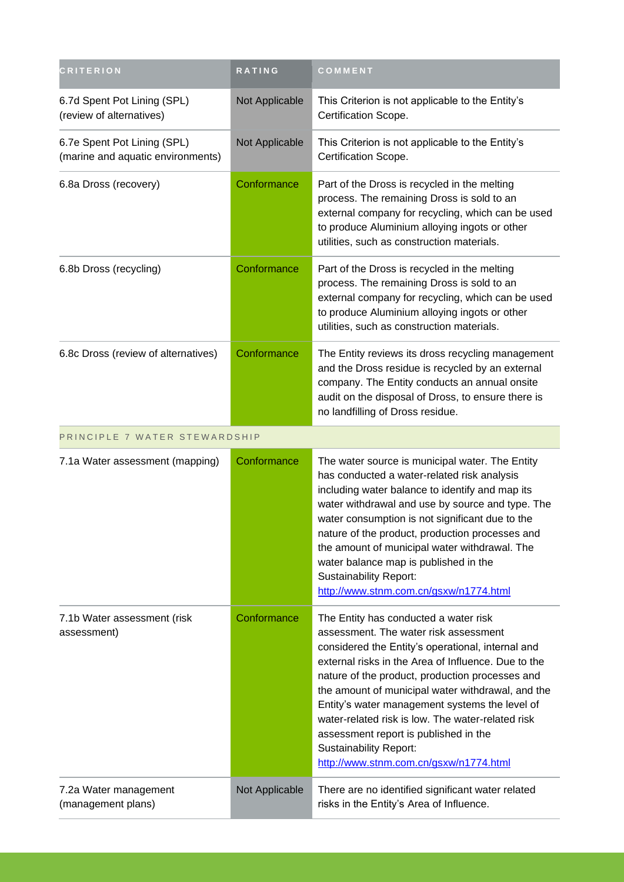| <b>CRITERION</b>                                                 | RATING         | COMMENT                                                                                                                                                                                                                                                                                                                                                                                                                                                                                                                       |
|------------------------------------------------------------------|----------------|-------------------------------------------------------------------------------------------------------------------------------------------------------------------------------------------------------------------------------------------------------------------------------------------------------------------------------------------------------------------------------------------------------------------------------------------------------------------------------------------------------------------------------|
| 6.7d Spent Pot Lining (SPL)<br>(review of alternatives)          | Not Applicable | This Criterion is not applicable to the Entity's<br>Certification Scope.                                                                                                                                                                                                                                                                                                                                                                                                                                                      |
| 6.7e Spent Pot Lining (SPL)<br>(marine and aquatic environments) | Not Applicable | This Criterion is not applicable to the Entity's<br>Certification Scope.                                                                                                                                                                                                                                                                                                                                                                                                                                                      |
| 6.8a Dross (recovery)                                            | Conformance    | Part of the Dross is recycled in the melting<br>process. The remaining Dross is sold to an<br>external company for recycling, which can be used<br>to produce Aluminium alloying ingots or other<br>utilities, such as construction materials.                                                                                                                                                                                                                                                                                |
| 6.8b Dross (recycling)                                           | Conformance    | Part of the Dross is recycled in the melting<br>process. The remaining Dross is sold to an<br>external company for recycling, which can be used<br>to produce Aluminium alloying ingots or other<br>utilities, such as construction materials.                                                                                                                                                                                                                                                                                |
| 6.8c Dross (review of alternatives)                              | Conformance    | The Entity reviews its dross recycling management<br>and the Dross residue is recycled by an external<br>company. The Entity conducts an annual onsite<br>audit on the disposal of Dross, to ensure there is<br>no landfilling of Dross residue.                                                                                                                                                                                                                                                                              |
| PRINCIPLE 7 WATER STEWARDSHIP                                    |                |                                                                                                                                                                                                                                                                                                                                                                                                                                                                                                                               |
| 7.1a Water assessment (mapping)                                  | Conformance    | The water source is municipal water. The Entity<br>has conducted a water-related risk analysis<br>including water balance to identify and map its<br>water withdrawal and use by source and type. The<br>water consumption is not significant due to the<br>nature of the product, production processes and<br>the amount of municipal water withdrawal. The<br>water balance map is published in the<br><b>Sustainability Report:</b><br>http://www.stnm.com.cn/gsxw/n1774.html                                              |
| 7.1b Water assessment (risk<br>assessment)                       | Conformance    | The Entity has conducted a water risk<br>assessment. The water risk assessment<br>considered the Entity's operational, internal and<br>external risks in the Area of Influence. Due to the<br>nature of the product, production processes and<br>the amount of municipal water withdrawal, and the<br>Entity's water management systems the level of<br>water-related risk is low. The water-related risk<br>assessment report is published in the<br><b>Sustainability Report:</b><br>http://www.stnm.com.cn/gsxw/n1774.html |
| 7.2a Water management<br>(management plans)                      | Not Applicable | There are no identified significant water related<br>risks in the Entity's Area of Influence.                                                                                                                                                                                                                                                                                                                                                                                                                                 |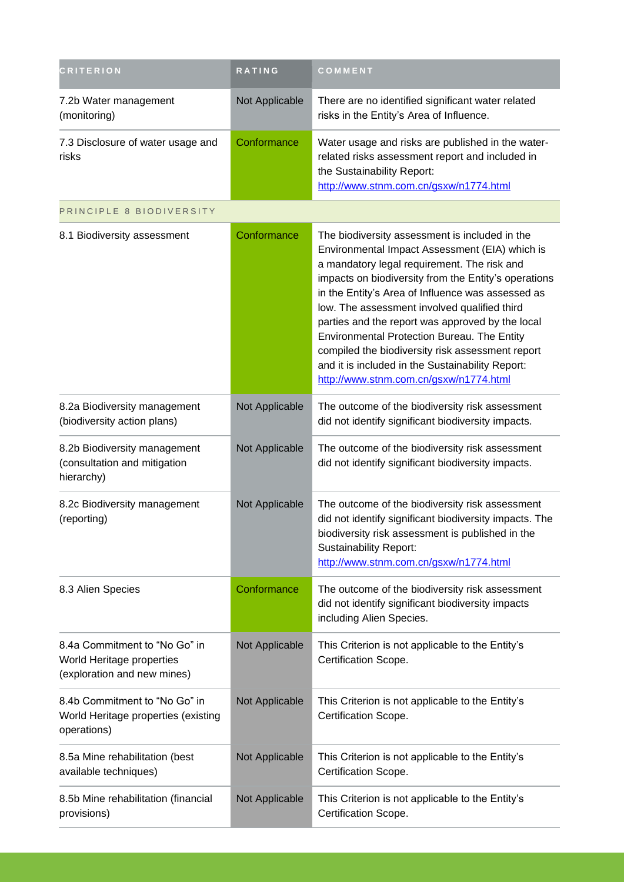| <b>CRITERION</b>                                                                          | RATING         | COMMENT                                                                                                                                                                                                                                                                                                                                                                                                                                                                                                                                                           |
|-------------------------------------------------------------------------------------------|----------------|-------------------------------------------------------------------------------------------------------------------------------------------------------------------------------------------------------------------------------------------------------------------------------------------------------------------------------------------------------------------------------------------------------------------------------------------------------------------------------------------------------------------------------------------------------------------|
| 7.2b Water management<br>(monitoring)                                                     | Not Applicable | There are no identified significant water related<br>risks in the Entity's Area of Influence.                                                                                                                                                                                                                                                                                                                                                                                                                                                                     |
| 7.3 Disclosure of water usage and<br>risks                                                | Conformance    | Water usage and risks are published in the water-<br>related risks assessment report and included in<br>the Sustainability Report:<br>http://www.stnm.com.cn/gsxw/n1774.html                                                                                                                                                                                                                                                                                                                                                                                      |
| PRINCIPLE 8 BIODIVERSITY                                                                  |                |                                                                                                                                                                                                                                                                                                                                                                                                                                                                                                                                                                   |
| 8.1 Biodiversity assessment                                                               | Conformance    | The biodiversity assessment is included in the<br>Environmental Impact Assessment (EIA) which is<br>a mandatory legal requirement. The risk and<br>impacts on biodiversity from the Entity's operations<br>in the Entity's Area of Influence was assessed as<br>low. The assessment involved qualified third<br>parties and the report was approved by the local<br>Environmental Protection Bureau. The Entity<br>compiled the biodiversity risk assessment report<br>and it is included in the Sustainability Report:<br>http://www.stnm.com.cn/gsxw/n1774.html |
| 8.2a Biodiversity management<br>(biodiversity action plans)                               | Not Applicable | The outcome of the biodiversity risk assessment<br>did not identify significant biodiversity impacts.                                                                                                                                                                                                                                                                                                                                                                                                                                                             |
| 8.2b Biodiversity management<br>(consultation and mitigation<br>hierarchy)                | Not Applicable | The outcome of the biodiversity risk assessment<br>did not identify significant biodiversity impacts.                                                                                                                                                                                                                                                                                                                                                                                                                                                             |
| 8.2c Biodiversity management<br>(reporting)                                               | Not Applicable | The outcome of the biodiversity risk assessment<br>did not identify significant biodiversity impacts. The<br>biodiversity risk assessment is published in the<br><b>Sustainability Report:</b><br>http://www.stnm.com.cn/gsxw/n1774.html                                                                                                                                                                                                                                                                                                                          |
| 8.3 Alien Species                                                                         | Conformance    | The outcome of the biodiversity risk assessment<br>did not identify significant biodiversity impacts<br>including Alien Species.                                                                                                                                                                                                                                                                                                                                                                                                                                  |
| 8.4a Commitment to "No Go" in<br>World Heritage properties<br>(exploration and new mines) | Not Applicable | This Criterion is not applicable to the Entity's<br>Certification Scope.                                                                                                                                                                                                                                                                                                                                                                                                                                                                                          |
| 8.4b Commitment to "No Go" in<br>World Heritage properties (existing<br>operations)       | Not Applicable | This Criterion is not applicable to the Entity's<br>Certification Scope.                                                                                                                                                                                                                                                                                                                                                                                                                                                                                          |
| 8.5a Mine rehabilitation (best<br>available techniques)                                   | Not Applicable | This Criterion is not applicable to the Entity's<br>Certification Scope.                                                                                                                                                                                                                                                                                                                                                                                                                                                                                          |
| 8.5b Mine rehabilitation (financial<br>provisions)                                        | Not Applicable | This Criterion is not applicable to the Entity's<br>Certification Scope.                                                                                                                                                                                                                                                                                                                                                                                                                                                                                          |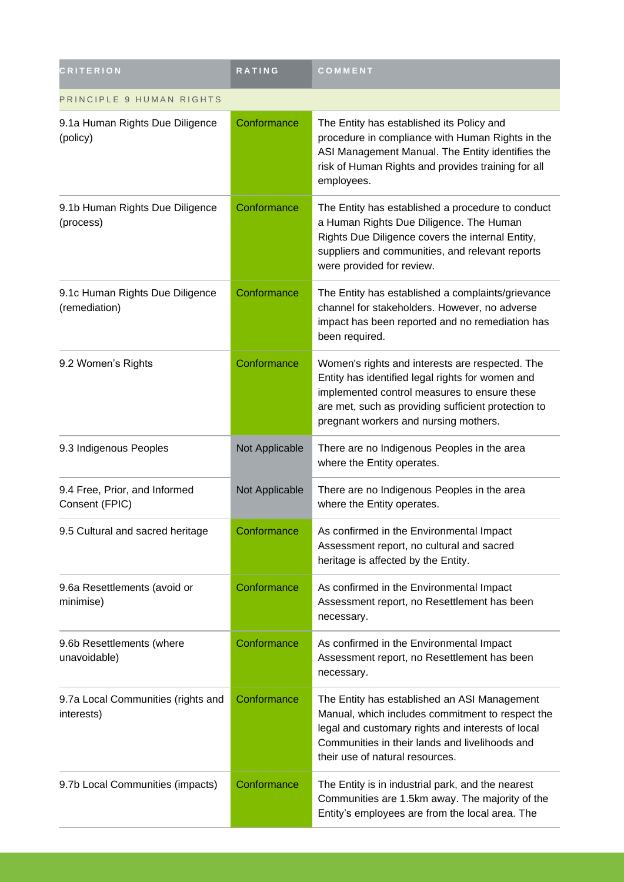| <b>CRITERION</b>                                 | RATING         | COMMENT                                                                                                                                                                                                                                             |  |
|--------------------------------------------------|----------------|-----------------------------------------------------------------------------------------------------------------------------------------------------------------------------------------------------------------------------------------------------|--|
| PRINCIPLE 9 HUMAN RIGHTS                         |                |                                                                                                                                                                                                                                                     |  |
| 9.1a Human Rights Due Diligence<br>(policy)      | Conformance    | The Entity has established its Policy and<br>procedure in compliance with Human Rights in the<br>ASI Management Manual. The Entity identifies the<br>risk of Human Rights and provides training for all<br>employees.                               |  |
| 9.1b Human Rights Due Diligence<br>(process)     | Conformance    | The Entity has established a procedure to conduct<br>a Human Rights Due Diligence. The Human<br>Rights Due Diligence covers the internal Entity,<br>suppliers and communities, and relevant reports<br>were provided for review.                    |  |
| 9.1c Human Rights Due Diligence<br>(remediation) | Conformance    | The Entity has established a complaints/grievance<br>channel for stakeholders. However, no adverse<br>impact has been reported and no remediation has<br>been required.                                                                             |  |
| 9.2 Women's Rights                               | Conformance    | Women's rights and interests are respected. The<br>Entity has identified legal rights for women and<br>implemented control measures to ensure these<br>are met, such as providing sufficient protection to<br>pregnant workers and nursing mothers. |  |
| 9.3 Indigenous Peoples                           | Not Applicable | There are no Indigenous Peoples in the area<br>where the Entity operates.                                                                                                                                                                           |  |
| 9.4 Free, Prior, and Informed<br>Consent (FPIC)  | Not Applicable | There are no Indigenous Peoples in the area<br>where the Entity operates.                                                                                                                                                                           |  |
| 9.5 Cultural and sacred heritage                 | Conformance    | As confirmed in the Environmental Impact<br>Assessment report, no cultural and sacred<br>heritage is affected by the Entity.                                                                                                                        |  |
| 9.6a Resettlements (avoid or<br>minimise)        | Conformance    | As confirmed in the Environmental Impact<br>Assessment report, no Resettlement has been<br>necessary.                                                                                                                                               |  |
| 9.6b Resettlements (where<br>unavoidable)        | Conformance    | As confirmed in the Environmental Impact<br>Assessment report, no Resettlement has been<br>necessary.                                                                                                                                               |  |
| 9.7a Local Communities (rights and<br>interests) | Conformance    | The Entity has established an ASI Management<br>Manual, which includes commitment to respect the<br>legal and customary rights and interests of local<br>Communities in their lands and livelihoods and<br>their use of natural resources.          |  |
| 9.7b Local Communities (impacts)                 | Conformance    | The Entity is in industrial park, and the nearest<br>Communities are 1.5km away. The majority of the<br>Entity's employees are from the local area. The                                                                                             |  |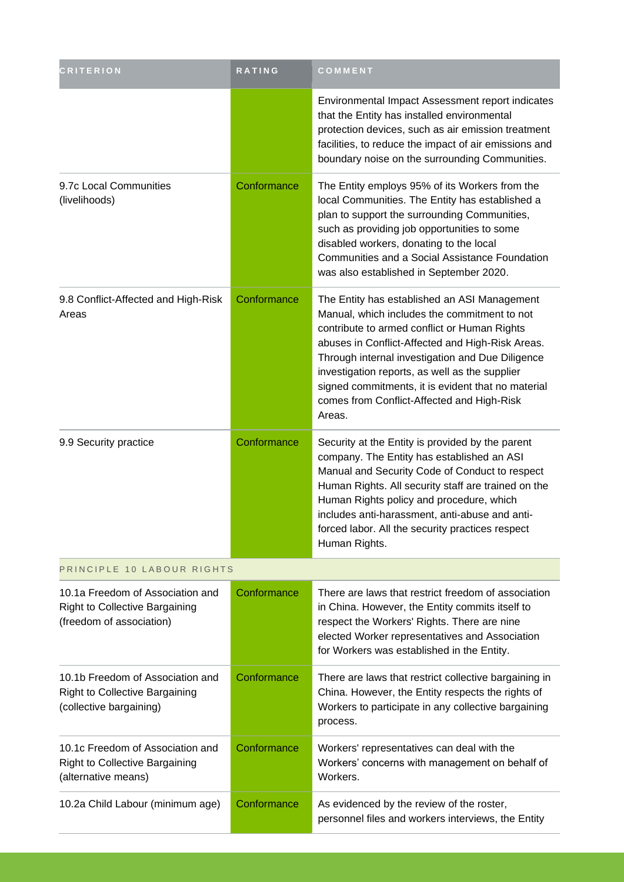| <b>CRITERION</b>                                                                                      | <b>RATING</b> | COMMENT                                                                                                                                                                                                                                                                                                                                                                                                              |
|-------------------------------------------------------------------------------------------------------|---------------|----------------------------------------------------------------------------------------------------------------------------------------------------------------------------------------------------------------------------------------------------------------------------------------------------------------------------------------------------------------------------------------------------------------------|
|                                                                                                       |               | Environmental Impact Assessment report indicates<br>that the Entity has installed environmental<br>protection devices, such as air emission treatment<br>facilities, to reduce the impact of air emissions and<br>boundary noise on the surrounding Communities.                                                                                                                                                     |
| 9.7c Local Communities<br>(livelihoods)                                                               | Conformance   | The Entity employs 95% of its Workers from the<br>local Communities. The Entity has established a<br>plan to support the surrounding Communities,<br>such as providing job opportunities to some<br>disabled workers, donating to the local<br>Communities and a Social Assistance Foundation<br>was also established in September 2020.                                                                             |
| 9.8 Conflict-Affected and High-Risk<br>Areas                                                          | Conformance   | The Entity has established an ASI Management<br>Manual, which includes the commitment to not<br>contribute to armed conflict or Human Rights<br>abuses in Conflict-Affected and High-Risk Areas.<br>Through internal investigation and Due Diligence<br>investigation reports, as well as the supplier<br>signed commitments, it is evident that no material<br>comes from Conflict-Affected and High-Risk<br>Areas. |
| 9.9 Security practice                                                                                 | Conformance   | Security at the Entity is provided by the parent<br>company. The Entity has established an ASI<br>Manual and Security Code of Conduct to respect<br>Human Rights. All security staff are trained on the<br>Human Rights policy and procedure, which<br>includes anti-harassment, anti-abuse and anti-<br>forced labor. All the security practices respect<br>Human Rights.                                           |
| PRINCIPLE 10 LABOUR RIGHTS                                                                            |               |                                                                                                                                                                                                                                                                                                                                                                                                                      |
| 10.1a Freedom of Association and<br><b>Right to Collective Bargaining</b><br>(freedom of association) | Conformance   | There are laws that restrict freedom of association<br>in China. However, the Entity commits itself to<br>respect the Workers' Rights. There are nine<br>elected Worker representatives and Association<br>for Workers was established in the Entity.                                                                                                                                                                |
| 10.1b Freedom of Association and<br><b>Right to Collective Bargaining</b><br>(collective bargaining)  | Conformance   | There are laws that restrict collective bargaining in<br>China. However, the Entity respects the rights of<br>Workers to participate in any collective bargaining<br>process.                                                                                                                                                                                                                                        |
| 10.1c Freedom of Association and<br><b>Right to Collective Bargaining</b><br>(alternative means)      | Conformance   | Workers' representatives can deal with the<br>Workers' concerns with management on behalf of<br>Workers.                                                                                                                                                                                                                                                                                                             |
| 10.2a Child Labour (minimum age)                                                                      | Conformance   | As evidenced by the review of the roster,<br>personnel files and workers interviews, the Entity                                                                                                                                                                                                                                                                                                                      |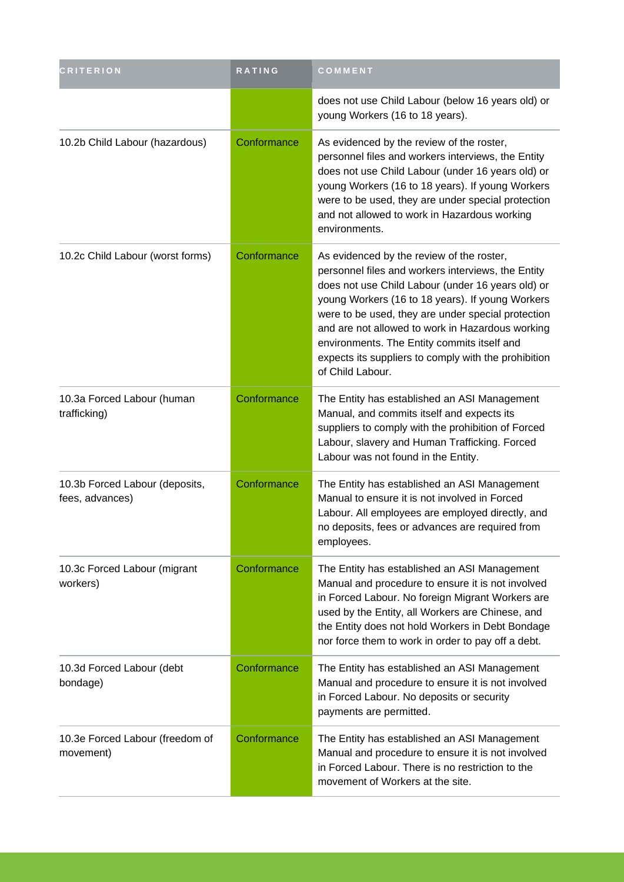| <b>CRITERION</b>                                  | RATING      | COMMENT                                                                                                                                                                                                                                                                                                                                                                                                                                       |
|---------------------------------------------------|-------------|-----------------------------------------------------------------------------------------------------------------------------------------------------------------------------------------------------------------------------------------------------------------------------------------------------------------------------------------------------------------------------------------------------------------------------------------------|
|                                                   |             | does not use Child Labour (below 16 years old) or<br>young Workers (16 to 18 years).                                                                                                                                                                                                                                                                                                                                                          |
| 10.2b Child Labour (hazardous)                    | Conformance | As evidenced by the review of the roster,<br>personnel files and workers interviews, the Entity<br>does not use Child Labour (under 16 years old) or<br>young Workers (16 to 18 years). If young Workers<br>were to be used, they are under special protection<br>and not allowed to work in Hazardous working<br>environments.                                                                                                               |
| 10.2c Child Labour (worst forms)                  | Conformance | As evidenced by the review of the roster,<br>personnel files and workers interviews, the Entity<br>does not use Child Labour (under 16 years old) or<br>young Workers (16 to 18 years). If young Workers<br>were to be used, they are under special protection<br>and are not allowed to work in Hazardous working<br>environments. The Entity commits itself and<br>expects its suppliers to comply with the prohibition<br>of Child Labour. |
| 10.3a Forced Labour (human<br>trafficking)        | Conformance | The Entity has established an ASI Management<br>Manual, and commits itself and expects its<br>suppliers to comply with the prohibition of Forced<br>Labour, slavery and Human Trafficking. Forced<br>Labour was not found in the Entity.                                                                                                                                                                                                      |
| 10.3b Forced Labour (deposits,<br>fees, advances) | Conformance | The Entity has established an ASI Management<br>Manual to ensure it is not involved in Forced<br>Labour. All employees are employed directly, and<br>no deposits, fees or advances are required from<br>employees.                                                                                                                                                                                                                            |
| 10.3c Forced Labour (migrant<br>workers)          | Conformance | The Entity has established an ASI Management<br>Manual and procedure to ensure it is not involved<br>in Forced Labour. No foreign Migrant Workers are<br>used by the Entity, all Workers are Chinese, and<br>the Entity does not hold Workers in Debt Bondage<br>nor force them to work in order to pay off a debt.                                                                                                                           |
| 10.3d Forced Labour (debt<br>bondage)             | Conformance | The Entity has established an ASI Management<br>Manual and procedure to ensure it is not involved<br>in Forced Labour. No deposits or security<br>payments are permitted.                                                                                                                                                                                                                                                                     |
| 10.3e Forced Labour (freedom of<br>movement)      | Conformance | The Entity has established an ASI Management<br>Manual and procedure to ensure it is not involved<br>in Forced Labour. There is no restriction to the<br>movement of Workers at the site.                                                                                                                                                                                                                                                     |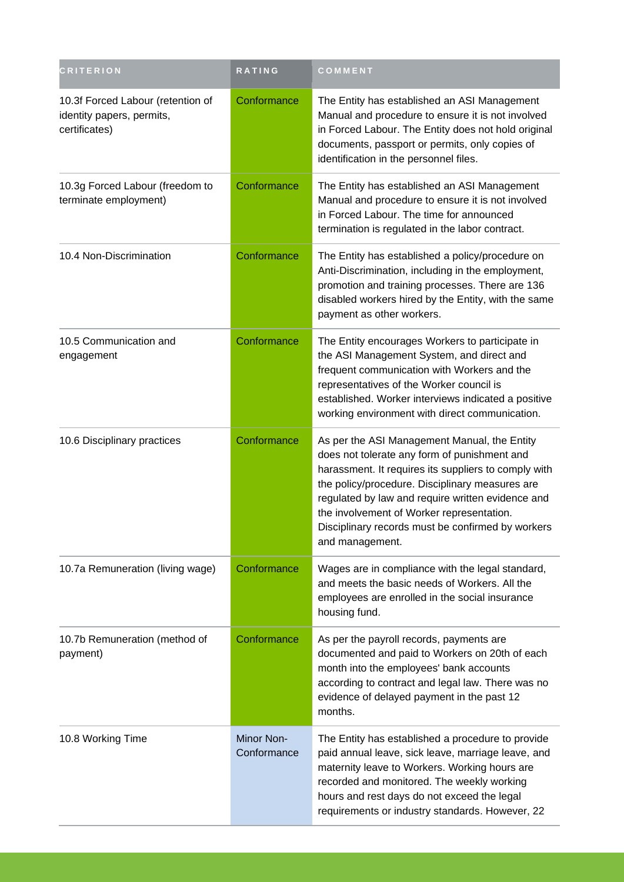| <b>CRITERION</b>                                                                | RATING                    | COMMENT                                                                                                                                                                                                                                                                                                                                                                           |
|---------------------------------------------------------------------------------|---------------------------|-----------------------------------------------------------------------------------------------------------------------------------------------------------------------------------------------------------------------------------------------------------------------------------------------------------------------------------------------------------------------------------|
| 10.3f Forced Labour (retention of<br>identity papers, permits,<br>certificates) | Conformance               | The Entity has established an ASI Management<br>Manual and procedure to ensure it is not involved<br>in Forced Labour. The Entity does not hold original<br>documents, passport or permits, only copies of<br>identification in the personnel files.                                                                                                                              |
| 10.3g Forced Labour (freedom to<br>terminate employment)                        | Conformance               | The Entity has established an ASI Management<br>Manual and procedure to ensure it is not involved<br>in Forced Labour. The time for announced<br>termination is regulated in the labor contract.                                                                                                                                                                                  |
| 10.4 Non-Discrimination                                                         | Conformance               | The Entity has established a policy/procedure on<br>Anti-Discrimination, including in the employment,<br>promotion and training processes. There are 136<br>disabled workers hired by the Entity, with the same<br>payment as other workers.                                                                                                                                      |
| 10.5 Communication and<br>engagement                                            | Conformance               | The Entity encourages Workers to participate in<br>the ASI Management System, and direct and<br>frequent communication with Workers and the<br>representatives of the Worker council is<br>established. Worker interviews indicated a positive<br>working environment with direct communication.                                                                                  |
| 10.6 Disciplinary practices                                                     | Conformance               | As per the ASI Management Manual, the Entity<br>does not tolerate any form of punishment and<br>harassment. It requires its suppliers to comply with<br>the policy/procedure. Disciplinary measures are<br>regulated by law and require written evidence and<br>the involvement of Worker representation.<br>Disciplinary records must be confirmed by workers<br>and management. |
| 10.7a Remuneration (living wage)                                                | Conformance               | Wages are in compliance with the legal standard,<br>and meets the basic needs of Workers. All the<br>employees are enrolled in the social insurance<br>housing fund.                                                                                                                                                                                                              |
| 10.7b Remuneration (method of<br>payment)                                       | Conformance               | As per the payroll records, payments are<br>documented and paid to Workers on 20th of each<br>month into the employees' bank accounts<br>according to contract and legal law. There was no<br>evidence of delayed payment in the past 12<br>months.                                                                                                                               |
| 10.8 Working Time                                                               | Minor Non-<br>Conformance | The Entity has established a procedure to provide<br>paid annual leave, sick leave, marriage leave, and<br>maternity leave to Workers. Working hours are<br>recorded and monitored. The weekly working<br>hours and rest days do not exceed the legal<br>requirements or industry standards. However, 22                                                                          |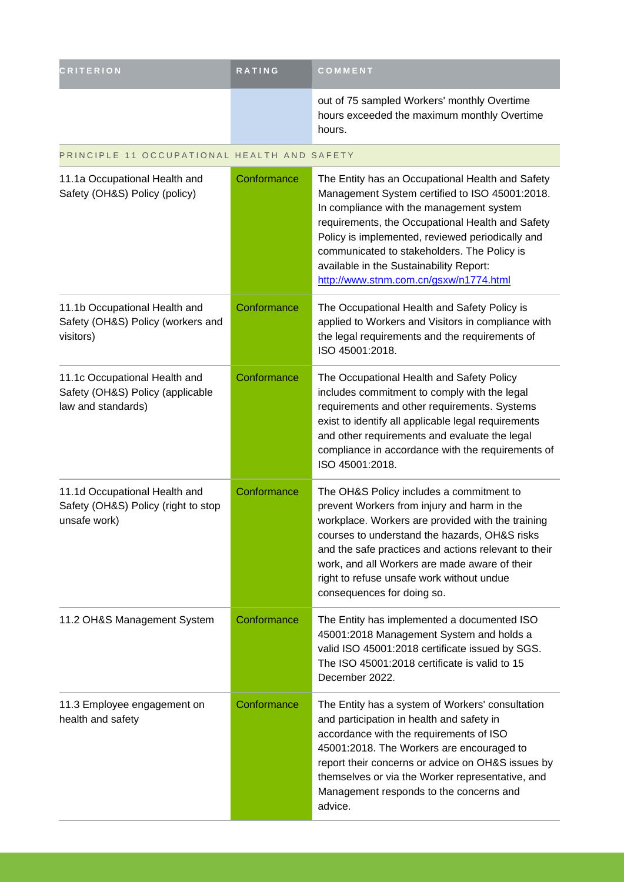| <b>CRITERION</b> | <b>RATING</b> | <b>COMMENT</b>                                                                                       |
|------------------|---------------|------------------------------------------------------------------------------------------------------|
|                  |               | out of 75 sampled Workers' monthly Overtime<br>hours exceeded the maximum monthly Overtime<br>hours. |

#### PRINCIPLE 11 OCCUPATIONAL HEALTH AND SAFETY

| 11.1a Occupational Health and<br>Safety (OH&S) Policy (policy)                          | Conformance | The Entity has an Occupational Health and Safety<br>Management System certified to ISO 45001:2018.<br>In compliance with the management system<br>requirements, the Occupational Health and Safety<br>Policy is implemented, reviewed periodically and<br>communicated to stakeholders. The Policy is<br>available in the Sustainability Report:<br>http://www.stnm.com.cn/gsxw/n1774.html |
|-----------------------------------------------------------------------------------------|-------------|--------------------------------------------------------------------------------------------------------------------------------------------------------------------------------------------------------------------------------------------------------------------------------------------------------------------------------------------------------------------------------------------|
| 11.1b Occupational Health and<br>Safety (OH&S) Policy (workers and<br>visitors)         | Conformance | The Occupational Health and Safety Policy is<br>applied to Workers and Visitors in compliance with<br>the legal requirements and the requirements of<br>ISO 45001:2018.                                                                                                                                                                                                                    |
| 11.1c Occupational Health and<br>Safety (OH&S) Policy (applicable<br>law and standards) | Conformance | The Occupational Health and Safety Policy<br>includes commitment to comply with the legal<br>requirements and other requirements. Systems<br>exist to identify all applicable legal requirements<br>and other requirements and evaluate the legal<br>compliance in accordance with the requirements of<br>ISO 45001:2018.                                                                  |
| 11.1d Occupational Health and<br>Safety (OH&S) Policy (right to stop<br>unsafe work)    | Conformance | The OH&S Policy includes a commitment to<br>prevent Workers from injury and harm in the<br>workplace. Workers are provided with the training<br>courses to understand the hazards, OH&S risks<br>and the safe practices and actions relevant to their<br>work, and all Workers are made aware of their<br>right to refuse unsafe work without undue<br>consequences for doing so.          |
| 11.2 OH&S Management System                                                             | Conformance | The Entity has implemented a documented ISO<br>45001:2018 Management System and holds a<br>valid ISO 45001:2018 certificate issued by SGS.<br>The ISO 45001:2018 certificate is valid to 15<br>December 2022.                                                                                                                                                                              |
| 11.3 Employee engagement on<br>health and safety                                        | Conformance | The Entity has a system of Workers' consultation<br>and participation in health and safety in<br>accordance with the requirements of ISO<br>45001:2018. The Workers are encouraged to<br>report their concerns or advice on OH&S issues by<br>themselves or via the Worker representative, and<br>Management responds to the concerns and<br>advice.                                       |